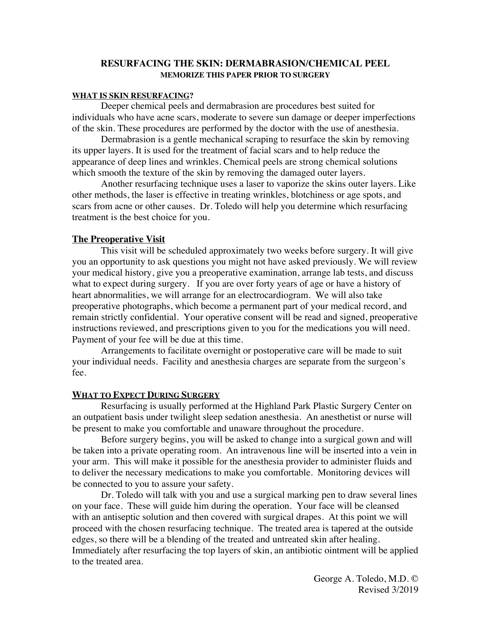### **RESURFACING THE SKIN: DERMABRASION/CHEMICAL PEEL MEMORIZE THIS PAPER PRIOR TO SURGERY**

#### **WHAT IS SKIN RESURFACING?**

Deeper chemical peels and dermabrasion are procedures best suited for individuals who have acne scars, moderate to severe sun damage or deeper imperfections of the skin. These procedures are performed by the doctor with the use of anesthesia.

Dermabrasion is a gentle mechanical scraping to resurface the skin by removing its upper layers. It is used for the treatment of facial scars and to help reduce the appearance of deep lines and wrinkles. Chemical peels are strong chemical solutions which smooth the texture of the skin by removing the damaged outer layers.

Another resurfacing technique uses a laser to vaporize the skins outer layers. Like other methods, the laser is effective in treating wrinkles, blotchiness or age spots, and scars from acne or other causes. Dr. Toledo will help you determine which resurfacing treatment is the best choice for you.

#### **The Preoperative Visit**

This visit will be scheduled approximately two weeks before surgery. It will give you an opportunity to ask questions you might not have asked previously. We will review your medical history, give you a preoperative examination, arrange lab tests, and discuss what to expect during surgery. If you are over forty years of age or have a history of heart abnormalities, we will arrange for an electrocardiogram. We will also take preoperative photographs, which become a permanent part of your medical record, and remain strictly confidential. Your operative consent will be read and signed, preoperative instructions reviewed, and prescriptions given to you for the medications you will need. Payment of your fee will be due at this time.

Arrangements to facilitate overnight or postoperative care will be made to suit your individual needs. Facility and anesthesia charges are separate from the surgeon's fee.

#### **WHAT TO EXPECT DURING SURGERY**

Resurfacing is usually performed at the Highland Park Plastic Surgery Center on an outpatient basis under twilight sleep sedation anesthesia. An anesthetist or nurse will be present to make you comfortable and unaware throughout the procedure.

Before surgery begins, you will be asked to change into a surgical gown and will be taken into a private operating room. An intravenous line will be inserted into a vein in your arm. This will make it possible for the anesthesia provider to administer fluids and to deliver the necessary medications to make you comfortable. Monitoring devices will be connected to you to assure your safety.

Dr. Toledo will talk with you and use a surgical marking pen to draw several lines on your face. These will guide him during the operation. Your face will be cleansed with an antiseptic solution and then covered with surgical drapes. At this point we will proceed with the chosen resurfacing technique. The treated area is tapered at the outside edges, so there will be a blending of the treated and untreated skin after healing. Immediately after resurfacing the top layers of skin, an antibiotic ointment will be applied to the treated area.

> George A. Toledo, M.D. © Revised 3/2019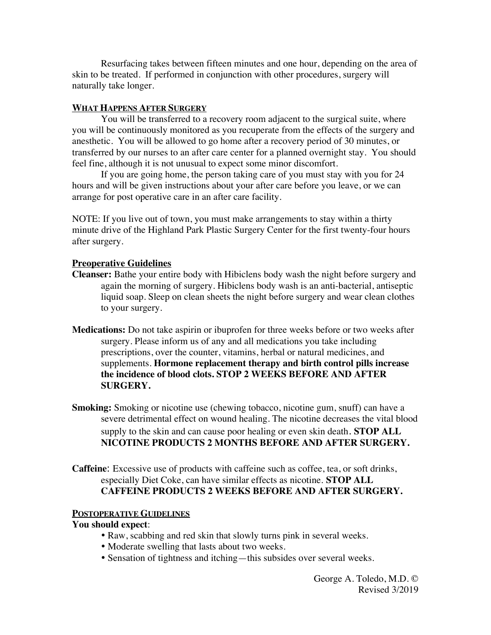Resurfacing takes between fifteen minutes and one hour, depending on the area of skin to be treated. If performed in conjunction with other procedures, surgery will naturally take longer.

## **WHAT HAPPENS AFTER SURGERY**

You will be transferred to a recovery room adjacent to the surgical suite, where you will be continuously monitored as you recuperate from the effects of the surgery and anesthetic. You will be allowed to go home after a recovery period of 30 minutes, or transferred by our nurses to an after care center for a planned overnight stay. You should feel fine, although it is not unusual to expect some minor discomfort.

If you are going home, the person taking care of you must stay with you for 24 hours and will be given instructions about your after care before you leave, or we can arrange for post operative care in an after care facility.

NOTE: If you live out of town, you must make arrangements to stay within a thirty minute drive of the Highland Park Plastic Surgery Center for the first twenty-four hours after surgery.

## **Preoperative Guidelines**

- **Cleanser:** Bathe your entire body with Hibiclens body wash the night before surgery and again the morning of surgery. Hibiclens body wash is an anti-bacterial, antiseptic liquid soap. Sleep on clean sheets the night before surgery and wear clean clothes to your surgery.
- **Medications:** Do not take aspirin or ibuprofen for three weeks before or two weeks after surgery. Please inform us of any and all medications you take including prescriptions, over the counter, vitamins, herbal or natural medicines, and supplements. **Hormone replacement therapy and birth control pills increase the incidence of blood clots. STOP 2 WEEKS BEFORE AND AFTER SURGERY.**
- **Smoking:** Smoking or nicotine use (chewing tobacco, nicotine gum, snuff) can have a severe detrimental effect on wound healing. The nicotine decreases the vital blood supply to the skin and can cause poor healing or even skin death. **STOP ALL NICOTINE PRODUCTS 2 MONTHS BEFORE AND AFTER SURGERY.**

**Caffeine**: Excessive use of products with caffeine such as coffee, tea, or soft drinks, especially Diet Coke, can have similar effects as nicotine. **STOP ALL CAFFEINE PRODUCTS 2 WEEKS BEFORE AND AFTER SURGERY.**

## **POSTOPERATIVE GUIDELINES**

### **You should expect**:

- Raw, scabbing and red skin that slowly turns pink in several weeks.
- Moderate swelling that lasts about two weeks.
- Sensation of tightness and itching—this subsides over several weeks.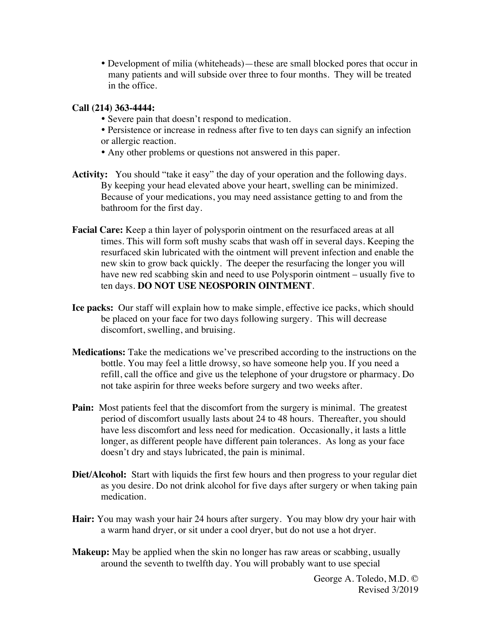Development of milia (whiteheads)—these are small blocked pores that occur in many patients and will subside over three to four months. They will be treated in the office.

## **Call (214) 363-4444:**

- Severe pain that doesn't respond to medication.
- Persistence or increase in redness after five to ten days can signify an infection or allergic reaction.
- Any other problems or questions not answered in this paper.
- Activity: You should "take it easy" the day of your operation and the following days. By keeping your head elevated above your heart, swelling can be minimized. Because of your medications, you may need assistance getting to and from the bathroom for the first day.
- **Facial Care:** Keep a thin layer of polysporin ointment on the resurfaced areas at all times. This will form soft mushy scabs that wash off in several days. Keeping the resurfaced skin lubricated with the ointment will prevent infection and enable the new skin to grow back quickly. The deeper the resurfacing the longer you will have new red scabbing skin and need to use Polysporin ointment – usually five to ten days. **DO NOT USE NEOSPORIN OINTMENT**.
- **Ice packs:** Our staff will explain how to make simple, effective ice packs, which should be placed on your face for two days following surgery. This will decrease discomfort, swelling, and bruising.
- **Medications:** Take the medications we've prescribed according to the instructions on the bottle. You may feel a little drowsy, so have someone help you. If you need a refill, call the office and give us the telephone of your drugstore or pharmacy. Do not take aspirin for three weeks before surgery and two weeks after.
- **Pain:** Most patients feel that the discomfort from the surgery is minimal. The greatest period of discomfort usually lasts about 24 to 48 hours. Thereafter, you should have less discomfort and less need for medication. Occasionally, it lasts a little longer, as different people have different pain tolerances. As long as your face doesn't dry and stays lubricated, the pain is minimal.
- **Diet/Alcohol:** Start with liquids the first few hours and then progress to your regular diet as you desire. Do not drink alcohol for five days after surgery or when taking pain medication.
- **Hair:** You may wash your hair 24 hours after surgery. You may blow dry your hair with a warm hand dryer, or sit under a cool dryer, but do not use a hot dryer.
- **Makeup:** May be applied when the skin no longer has raw areas or scabbing, usually around the seventh to twelfth day. You will probably want to use special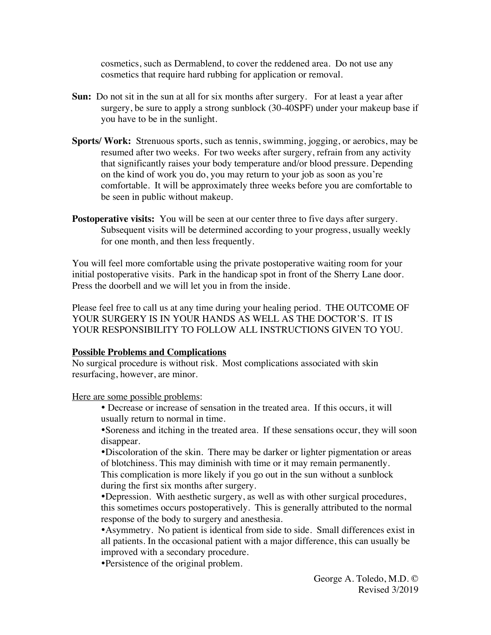cosmetics, such as Dermablend, to cover the reddened area. Do not use any cosmetics that require hard rubbing for application or removal.

- **Sun:** Do not sit in the sun at all for six months after surgery. For at least a year after surgery, be sure to apply a strong sunblock (30-40SPF) under your makeup base if you have to be in the sunlight.
- **Sports/ Work:** Strenuous sports, such as tennis, swimming, jogging, or aerobics, may be resumed after two weeks. For two weeks after surgery, refrain from any activity that significantly raises your body temperature and/or blood pressure. Depending on the kind of work you do, you may return to your job as soon as you're comfortable. It will be approximately three weeks before you are comfortable to be seen in public without makeup.
- **Postoperative visits:** You will be seen at our center three to five days after surgery. Subsequent visits will be determined according to your progress, usually weekly for one month, and then less frequently.

You will feel more comfortable using the private postoperative waiting room for your initial postoperative visits. Park in the handicap spot in front of the Sherry Lane door. Press the doorbell and we will let you in from the inside.

Please feel free to call us at any time during your healing period. THE OUTCOME OF YOUR SURGERY IS IN YOUR HANDS AS WELL AS THE DOCTOR'S. IT IS YOUR RESPONSIBILITY TO FOLLOW ALL INSTRUCTIONS GIVEN TO YOU.

### **Possible Problems and Complications**

No surgical procedure is without risk. Most complications associated with skin resurfacing, however, are minor.

Here are some possible problems:

 Decrease or increase of sensation in the treated area. If this occurs, it will usually return to normal in time.

Soreness and itching in the treated area. If these sensations occur, they will soon disappear.

Discoloration of the skin. There may be darker or lighter pigmentation or areas of blotchiness. This may diminish with time or it may remain permanently. This complication is more likely if you go out in the sun without a sunblock during the first six months after surgery.

Depression. With aesthetic surgery, as well as with other surgical procedures, this sometimes occurs postoperatively. This is generally attributed to the normal response of the body to surgery and anesthesia.

Asymmetry. No patient is identical from side to side. Small differences exist in all patients. In the occasional patient with a major difference, this can usually be improved with a secondary procedure.

Persistence of the original problem.